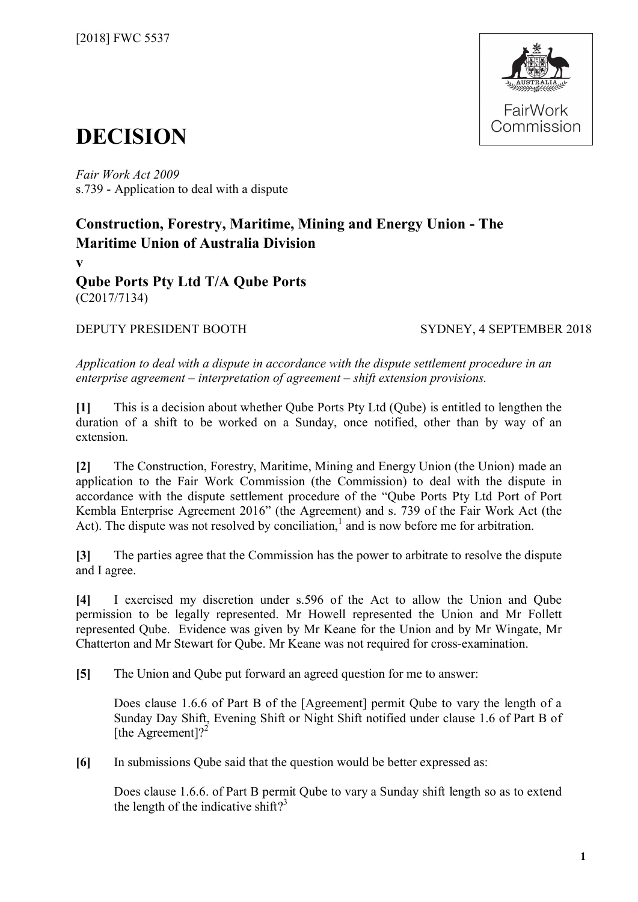

# **DECISION**

*Fair Work Act 2009*  s.739 - Application to deal with a dispute

## **Construction, Forestry, Maritime, Mining and Energy Union - The Maritime Union of Australia Division**

**v**

**Qube Ports Pty Ltd T/A Qube Ports** (C2017/7134)

DEPUTY PRESIDENT BOOTH SYDNEY, 4 SEPTEMBER 2018

*Application to deal with a dispute in accordance with the dispute settlement procedure in an enterprise agreement – interpretation of agreement – shift extension provisions.*

**[1]** This is a decision about whether Qube Ports Pty Ltd (Qube) is entitled to lengthen the duration of a shift to be worked on a Sunday, once notified, other than by way of an extension.

**[2]** The Construction, Forestry, Maritime, Mining and Energy Union (the Union) made an application to the Fair Work Commission (the Commission) to deal with the dispute in accordance with the dispute settlement procedure of the "Qube Ports Pty Ltd Port of Port Kembla Enterprise Agreement 2016" (the Agreement) and s. 739 of the Fair Work Act (the Act). The dispute was not resolved by conciliation, $<sup>1</sup>$  $<sup>1</sup>$  $<sup>1</sup>$  and is now before me for arbitration.</sup>

**[3]** The parties agree that the Commission has the power to arbitrate to resolve the dispute and I agree.

**[4]** I exercised my discretion under s.596 of the Act to allow the Union and Qube permission to be legally represented. Mr Howell represented the Union and Mr Follett represented Qube. Evidence was given by Mr Keane for the Union and by Mr Wingate, Mr Chatterton and Mr Stewart for Qube. Mr Keane was not required for cross-examination.

**[5]** The Union and Qube put forward an agreed question for me to answer:

Does clause 1.6.6 of Part B of the [Agreement] permit Qube to vary the length of a Sunday Day Shift, Evening Shift or Night Shift notified under clause 1.6 of Part B of [the Agreement]?<sup>[2](#page-12-1)</sup>

**[6]** In submissions Qube said that the question would be better expressed as:

Does clause 1.6.6. of Part B permit Qube to vary a Sunday shift length so as to extend the length of the indicative shift?<sup>[3](#page-12-2)</sup>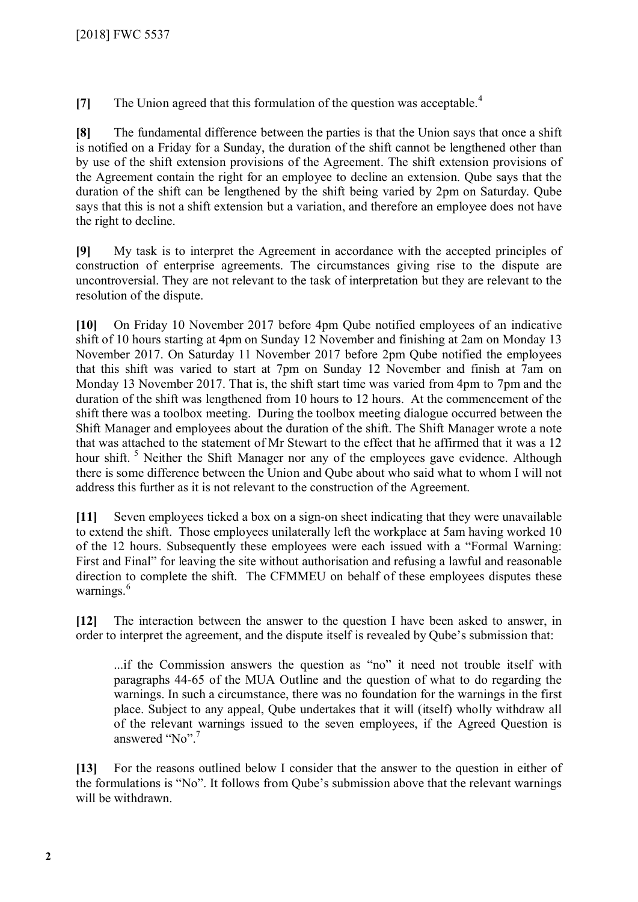**[7]** The Union agreed that this formulation of the question was acceptable.<sup>[4](#page-12-3)</sup>

**[8]** The fundamental difference between the parties is that the Union says that once a shift is notified on a Friday for a Sunday, the duration of the shift cannot be lengthened other than by use of the shift extension provisions of the Agreement. The shift extension provisions of the Agreement contain the right for an employee to decline an extension. Qube says that the duration of the shift can be lengthened by the shift being varied by 2pm on Saturday. Qube says that this is not a shift extension but a variation, and therefore an employee does not have the right to decline.

**[9]** My task is to interpret the Agreement in accordance with the accepted principles of construction of enterprise agreements. The circumstances giving rise to the dispute are uncontroversial. They are not relevant to the task of interpretation but they are relevant to the resolution of the dispute.

**[10]** On Friday 10 November 2017 before 4pm Qube notified employees of an indicative shift of 10 hours starting at 4pm on Sunday 12 November and finishing at 2am on Monday 13 November 2017. On Saturday 11 November 2017 before 2pm Qube notified the employees that this shift was varied to start at 7pm on Sunday 12 November and finish at 7am on Monday 13 November 2017. That is, the shift start time was varied from 4pm to 7pm and the duration of the shift was lengthened from 10 hours to 12 hours. At the commencement of the shift there was a toolbox meeting. During the toolbox meeting dialogue occurred between the Shift Manager and employees about the duration of the shift. The Shift Manager wrote a note that was attached to the statement of Mr Stewart to the effect that he affirmed that it was a 12 hour shift. <sup>[5](#page-12-4)</sup> Neither the Shift Manager nor any of the employees gave evidence. Although there is some difference between the Union and Qube about who said what to whom I will not address this further as it is not relevant to the construction of the Agreement.

**[11]** Seven employees ticked a box on a sign-on sheet indicating that they were unavailable to extend the shift. Those employees unilaterally left the workplace at 5am having worked 10 of the 12 hours. Subsequently these employees were each issued with a "Formal Warning: First and Final" for leaving the site without authorisation and refusing a lawful and reasonable direction to complete the shift. The CFMMEU on behalf of these employees disputes these warnings.<sup>[6](#page-12-5)</sup>

**[12]** The interaction between the answer to the question I have been asked to answer, in order to interpret the agreement, and the dispute itself is revealed by Qube's submission that:

...if the Commission answers the question as "no" it need not trouble itself with paragraphs 44-65 of the MUA Outline and the question of what to do regarding the warnings. In such a circumstance, there was no foundation for the warnings in the first place. Subject to any appeal, Qube undertakes that it will (itself) wholly withdraw all of the relevant warnings issued to the seven employees, if the Agreed Question is answered "No".<sup>[7](#page-12-6)</sup>

**[13]** For the reasons outlined below I consider that the answer to the question in either of the formulations is "No". It follows from Qube's submission above that the relevant warnings will be withdrawn.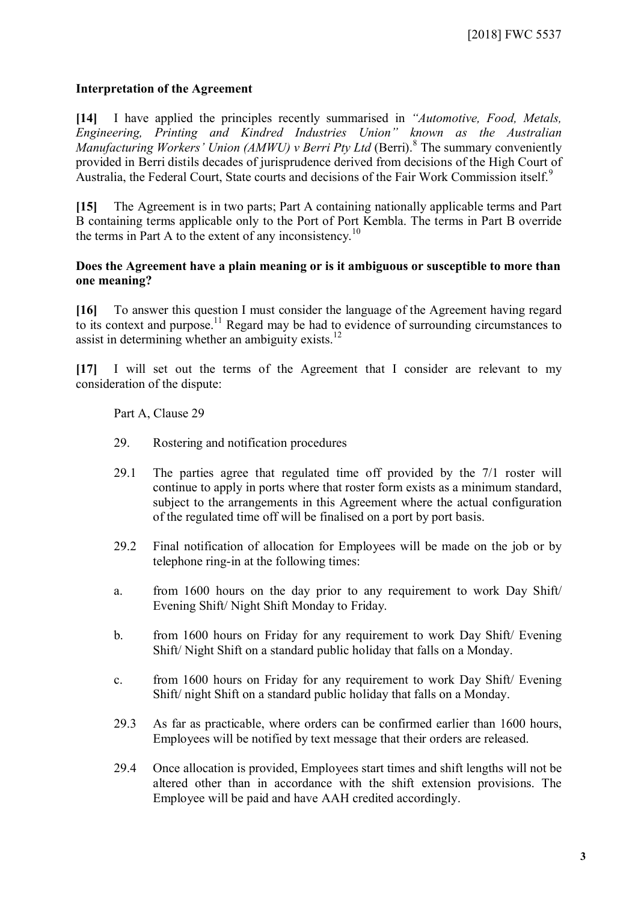#### **Interpretation of the Agreement**

**[14]** I have applied the principles recently summarised in *"Automotive, Food, Metals, Engineering, Printing and Kindred Industries Union" known as the Australian*  Manufacturing Workers' Union (AMWU) v Berri Pty Ltd (Berri).<sup>[8](#page-12-7)</sup> The summary conveniently provided in Berri distils decades of jurisprudence derived from decisions of the High Court of Australia, the Federal Court, State courts and decisions of the Fair Work Commission itself.<sup>[9](#page-12-8)</sup>

**[15]** The Agreement is in two parts; Part A containing nationally applicable terms and Part B containing terms applicable only to the Port of Port Kembla. The terms in Part B override the terms in Part A to the extent of any inconsistency.<sup>[10](#page-12-9)</sup>

#### **Does the Agreement have a plain meaning or is it ambiguous or susceptible to more than one meaning?**

**[16]** To answer this question I must consider the language of the Agreement having regard to its context and purpose.<sup>[11](#page-12-10)</sup> Regard may be had to evidence of surrounding circumstances to assist in determining whether an ambiguity exists.<sup>[12](#page-12-11)</sup>

**[17]** I will set out the terms of the Agreement that I consider are relevant to my consideration of the dispute:

#### Part A, Clause 29

- 29. Rostering and notification procedures
- 29.1 The parties agree that regulated time off provided by the 7/1 roster will continue to apply in ports where that roster form exists as a minimum standard, subject to the arrangements in this Agreement where the actual configuration of the regulated time off will be finalised on a port by port basis.
- 29.2 Final notification of allocation for Employees will be made on the job or by telephone ring-in at the following times:
- a. from 1600 hours on the day prior to any requirement to work Day Shift/ Evening Shift/ Night Shift Monday to Friday.
- b. from 1600 hours on Friday for any requirement to work Day Shift/ Evening Shift/ Night Shift on a standard public holiday that falls on a Monday.
- c. from 1600 hours on Friday for any requirement to work Day Shift/ Evening Shift/ night Shift on a standard public holiday that falls on a Monday.
- 29.3 As far as practicable, where orders can be confirmed earlier than 1600 hours, Employees will be notified by text message that their orders are released.
- 29.4 Once allocation is provided, Employees start times and shift lengths will not be altered other than in accordance with the shift extension provisions. The Employee will be paid and have AAH credited accordingly.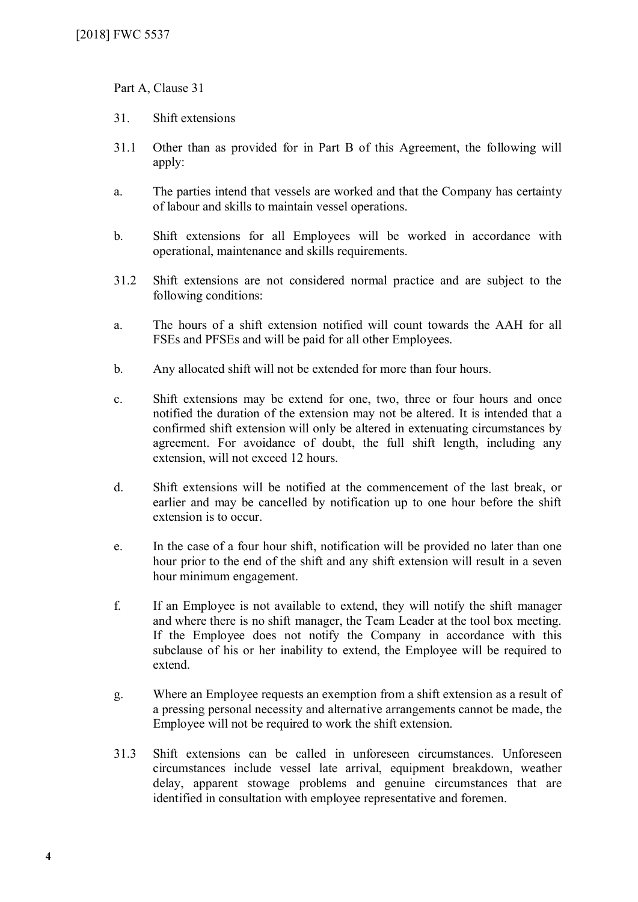Part A, Clause 31

- 31. Shift extensions
- 31.1 Other than as provided for in Part B of this Agreement, the following will apply:
- a. The parties intend that vessels are worked and that the Company has certainty of labour and skills to maintain vessel operations.
- b. Shift extensions for all Employees will be worked in accordance with operational, maintenance and skills requirements.
- 31.2 Shift extensions are not considered normal practice and are subject to the following conditions:
- a. The hours of a shift extension notified will count towards the AAH for all FSEs and PFSEs and will be paid for all other Employees.
- b. Any allocated shift will not be extended for more than four hours.
- c. Shift extensions may be extend for one, two, three or four hours and once notified the duration of the extension may not be altered. It is intended that a confirmed shift extension will only be altered in extenuating circumstances by agreement. For avoidance of doubt, the full shift length, including any extension, will not exceed 12 hours.
- d. Shift extensions will be notified at the commencement of the last break, or earlier and may be cancelled by notification up to one hour before the shift extension is to occur.
- e. In the case of a four hour shift, notification will be provided no later than one hour prior to the end of the shift and any shift extension will result in a seven hour minimum engagement.
- f. If an Employee is not available to extend, they will notify the shift manager and where there is no shift manager, the Team Leader at the tool box meeting. If the Employee does not notify the Company in accordance with this subclause of his or her inability to extend, the Employee will be required to extend.
- g. Where an Employee requests an exemption from a shift extension as a result of a pressing personal necessity and alternative arrangements cannot be made, the Employee will not be required to work the shift extension.
- 31.3 Shift extensions can be called in unforeseen circumstances. Unforeseen circumstances include vessel late arrival, equipment breakdown, weather delay, apparent stowage problems and genuine circumstances that are identified in consultation with employee representative and foremen.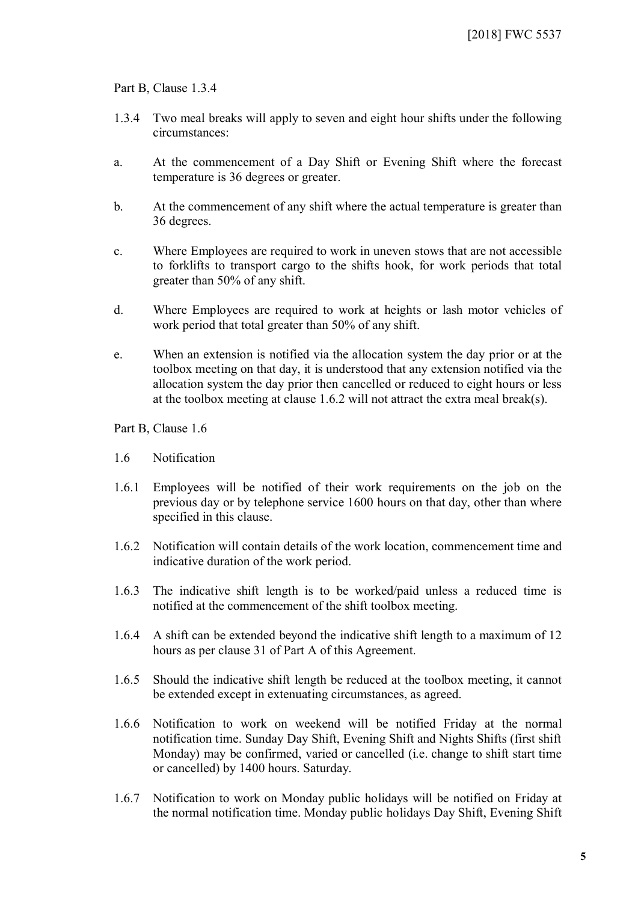Part B, Clause 1.3.4

- 1.3.4 Two meal breaks will apply to seven and eight hour shifts under the following circumstances:
- a. At the commencement of a Day Shift or Evening Shift where the forecast temperature is 36 degrees or greater.
- b. At the commencement of any shift where the actual temperature is greater than 36 degrees.
- c. Where Employees are required to work in uneven stows that are not accessible to forklifts to transport cargo to the shifts hook, for work periods that total greater than 50% of any shift.
- d. Where Employees are required to work at heights or lash motor vehicles of work period that total greater than 50% of any shift.
- e. When an extension is notified via the allocation system the day prior or at the toolbox meeting on that day, it is understood that any extension notified via the allocation system the day prior then cancelled or reduced to eight hours or less at the toolbox meeting at clause 1.6.2 will not attract the extra meal break(s).

Part B, Clause 1.6

- 1.6 Notification
- 1.6.1 Employees will be notified of their work requirements on the job on the previous day or by telephone service 1600 hours on that day, other than where specified in this clause.
- 1.6.2 Notification will contain details of the work location, commencement time and indicative duration of the work period.
- 1.6.3 The indicative shift length is to be worked/paid unless a reduced time is notified at the commencement of the shift toolbox meeting.
- 1.6.4 A shift can be extended beyond the indicative shift length to a maximum of 12 hours as per clause 31 of Part A of this Agreement.
- 1.6.5 Should the indicative shift length be reduced at the toolbox meeting, it cannot be extended except in extenuating circumstances, as agreed.
- 1.6.6 Notification to work on weekend will be notified Friday at the normal notification time. Sunday Day Shift, Evening Shift and Nights Shifts (first shift Monday) may be confirmed, varied or cancelled (i.e. change to shift start time or cancelled) by 1400 hours. Saturday.
- 1.6.7 Notification to work on Monday public holidays will be notified on Friday at the normal notification time. Monday public holidays Day Shift, Evening Shift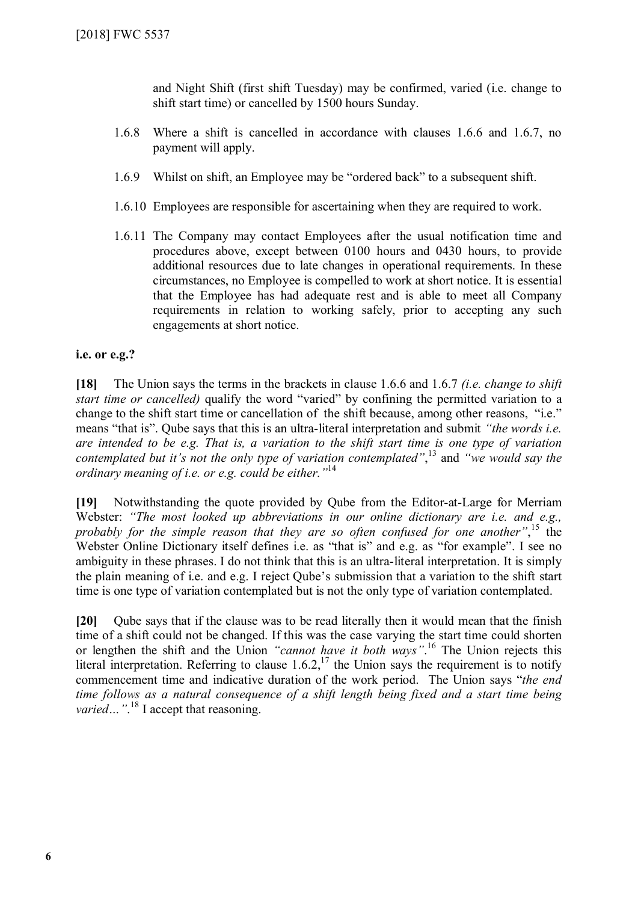and Night Shift (first shift Tuesday) may be confirmed, varied (i.e. change to shift start time) or cancelled by 1500 hours Sunday.

- 1.6.8 Where a shift is cancelled in accordance with clauses 1.6.6 and 1.6.7, no payment will apply.
- 1.6.9 Whilst on shift, an Employee may be "ordered back" to a subsequent shift.
- 1.6.10 Employees are responsible for ascertaining when they are required to work.
- 1.6.11 The Company may contact Employees after the usual notification time and procedures above, except between 0100 hours and 0430 hours, to provide additional resources due to late changes in operational requirements. In these circumstances, no Employee is compelled to work at short notice. It is essential that the Employee has had adequate rest and is able to meet all Company requirements in relation to working safely, prior to accepting any such engagements at short notice.

### **i.e. or e.g.?**

**[18]** The Union says the terms in the brackets in clause 1.6.6 and 1.6.7 *(i.e. change to shift start time or cancelled)* qualify the word "varied" by confining the permitted variation to a change to the shift start time or cancellation of the shift because, among other reasons, "i.e." means "that is". Qube says that this is an ultra-literal interpretation and submit *"the words i.e. are intended to be e.g. That is, a variation to the shift start time is one type of variation contemplated but it's not the only type of variation contemplated"*, [13](#page-12-12) and *"we would say the ordinary meaning of i.e. or e.g. could be either."*[14](#page-12-13)

**[19]** Notwithstanding the quote provided by Qube from the Editor-at-Large for Merriam Webster: *"The most looked up abbreviations in our online dictionary are i.e. and e.g., probably for the simple reason that they are so often confused for one another"*, [15](#page-12-14) the Webster Online Dictionary itself defines i.e. as "that is" and e.g. as "for example". I see no ambiguity in these phrases. I do not think that this is an ultra-literal interpretation. It is simply the plain meaning of i.e. and e.g. I reject Qube's submission that a variation to the shift start time is one type of variation contemplated but is not the only type of variation contemplated.

**[20]** Qube says that if the clause was to be read literally then it would mean that the finish time of a shift could not be changed. If this was the case varying the start time could shorten or lengthen the shift and the Union *"cannot have it both ways"*. [16](#page-12-15) The Union rejects this literal interpretation. Referring to clause  $1.6.2$ ,  $^{17}$  $^{17}$  $^{17}$  the Union says the requirement is to notify commencement time and indicative duration of the work period. The Union says "*the end time follows as a natural consequence of a shift length being fixed and a start time being*  varied..."<sup>[18](#page-12-17)</sup> I accept that reasoning.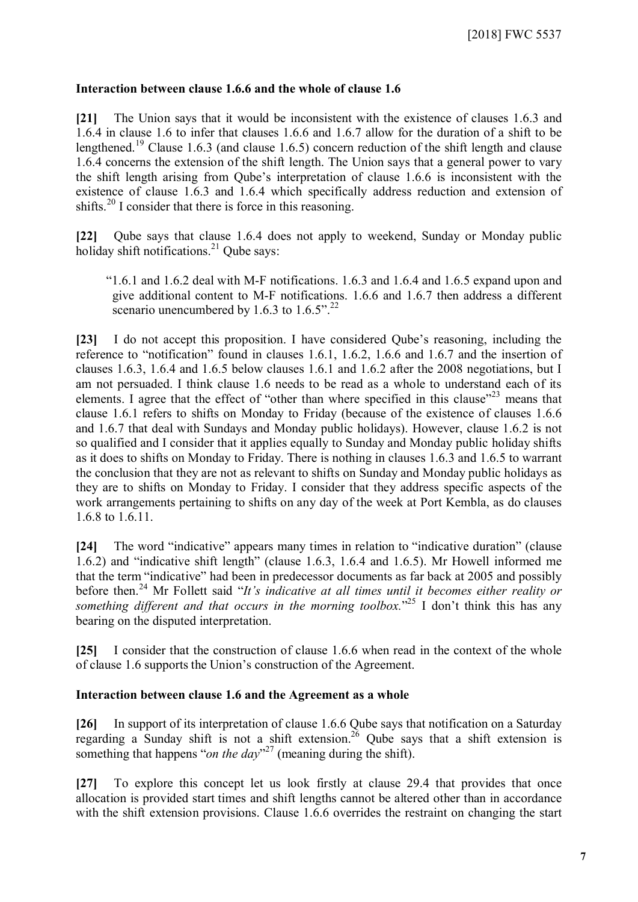#### **Interaction between clause 1.6.6 and the whole of clause 1.6**

**[21]** The Union says that it would be inconsistent with the existence of clauses 1.6.3 and 1.6.4 in clause 1.6 to infer that clauses 1.6.6 and 1.6.7 allow for the duration of a shift to be lengthened.<sup>[19](#page-12-18)</sup> Clause 1.6.3 (and clause 1.6.5) concern reduction of the shift length and clause 1.6.4 concerns the extension of the shift length. The Union says that a general power to vary the shift length arising from Qube's interpretation of clause 1.6.6 is inconsistent with the existence of clause 1.6.3 and 1.6.4 which specifically address reduction and extension of shifts.<sup>[20](#page-12-19)</sup> I consider that there is force in this reasoning.

**[22]** Qube says that clause 1.6.4 does not apply to weekend, Sunday or Monday public holiday shift notifications. $^{21}$  $^{21}$  $^{21}$  Qube says:

"1.6.1 and 1.6.2 deal with M-F notifications. 1.6.3 and 1.6.4 and 1.6.5 expand upon and give additional content to M-F notifications. 1.6.6 and 1.6.7 then address a different scenario unencumbered by 1.6.3 to  $1.6.5$ ".<sup>[22](#page-12-21)</sup>

**[23]** I do not accept this proposition. I have considered Qube's reasoning, including the reference to "notification" found in clauses 1.6.1, 1.6.2, 1.6.6 and 1.6.7 and the insertion of clauses 1.6.3, 1.6.4 and 1.6.5 below clauses 1.6.1 and 1.6.2 after the 2008 negotiations, but I am not persuaded. I think clause 1.6 needs to be read as a whole to understand each of its elements. I agree that the effect of "other than where specified in this clause"<sup>[23](#page-12-22)</sup> means that clause 1.6.1 refers to shifts on Monday to Friday (because of the existence of clauses 1.6.6 and 1.6.7 that deal with Sundays and Monday public holidays). However, clause 1.6.2 is not so qualified and I consider that it applies equally to Sunday and Monday public holiday shifts as it does to shifts on Monday to Friday. There is nothing in clauses 1.6.3 and 1.6.5 to warrant the conclusion that they are not as relevant to shifts on Sunday and Monday public holidays as they are to shifts on Monday to Friday. I consider that they address specific aspects of the work arrangements pertaining to shifts on any day of the week at Port Kembla, as do clauses 1.6.8 to 1.6.11.

**[24]** The word "indicative" appears many times in relation to "indicative duration" (clause 1.6.2) and "indicative shift length" (clause 1.6.3, 1.6.4 and 1.6.5). Mr Howell informed me that the term "indicative" had been in predecessor documents as far back at 2005 and possibly before then.<sup>[24](#page-12-23)</sup> Mr Follett said "*It's indicative at all times until it becomes either reality or* something different and that occurs in the morning toolbox.<sup>[25](#page-12-24)</sup> I don't think this has any bearing on the disputed interpretation.

**[25]** I consider that the construction of clause 1.6.6 when read in the context of the whole of clause 1.6 supports the Union's construction of the Agreement.

### **Interaction between clause 1.6 and the Agreement as a whole**

**[26]** In support of its interpretation of clause 1.6.6 Qube says that notification on a Saturday regarding a Sunday shift is not a shift extension.<sup>[26](#page-12-25)</sup> Qube says that a shift extension is something that happens "*on the day*"<sup>[27](#page-12-26)</sup> (meaning during the shift).

**[27]** To explore this concept let us look firstly at clause 29.4 that provides that once allocation is provided start times and shift lengths cannot be altered other than in accordance with the shift extension provisions. Clause 1.6.6 overrides the restraint on changing the start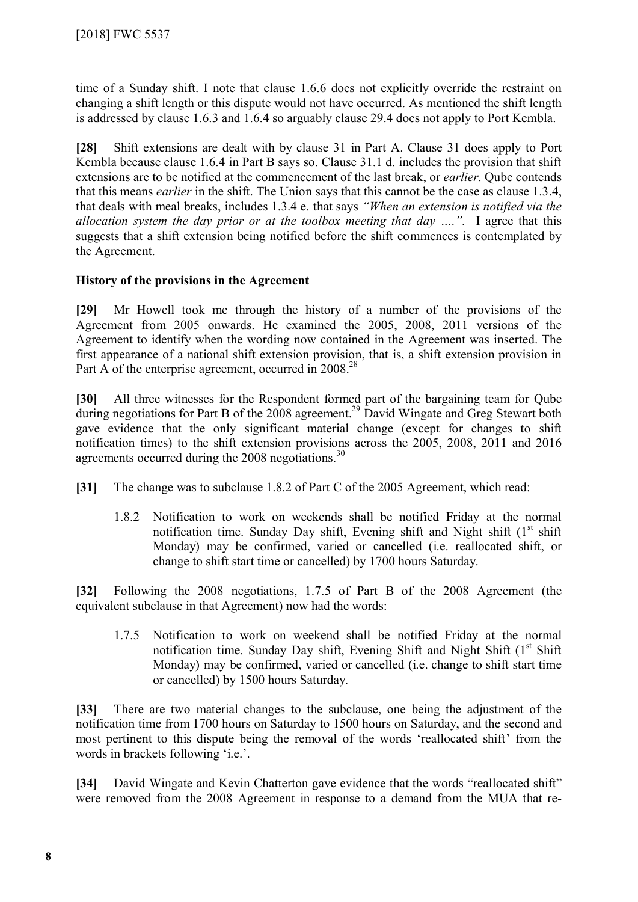time of a Sunday shift. I note that clause 1.6.6 does not explicitly override the restraint on changing a shift length or this dispute would not have occurred. As mentioned the shift length is addressed by clause 1.6.3 and 1.6.4 so arguably clause 29.4 does not apply to Port Kembla.

**[28]** Shift extensions are dealt with by clause 31 in Part A. Clause 31 does apply to Port Kembla because clause 1.6.4 in Part B says so. Clause 31.1 d. includes the provision that shift extensions are to be notified at the commencement of the last break, or *earlier*. Qube contends that this means *earlier* in the shift. The Union says that this cannot be the case as clause 1.3.4, that deals with meal breaks, includes 1.3.4 e. that says *"When an extension is notified via the allocation system the day prior or at the toolbox meeting that day ….".* I agree that this suggests that a shift extension being notified before the shift commences is contemplated by the Agreement.

### **History of the provisions in the Agreement**

**[29]** Mr Howell took me through the history of a number of the provisions of the Agreement from 2005 onwards. He examined the 2005, 2008, 2011 versions of the Agreement to identify when the wording now contained in the Agreement was inserted. The first appearance of a national shift extension provision, that is, a shift extension provision in Part A of the enterprise agreement, occurred in  $2008<sup>28</sup>$  $2008<sup>28</sup>$  $2008<sup>28</sup>$ 

**[30]** All three witnesses for the Respondent formed part of the bargaining team for Qube during negotiations for Part B of the 2008 agreement.<sup>[29](#page-12-28)</sup> David Wingate and Greg Stewart both gave evidence that the only significant material change (except for changes to shift notification times) to the shift extension provisions across the 2005, 2008, 2011 and 2016 agreements occurred during the 2008 negotiations.<sup>[30](#page-12-29)</sup>

- **[31]** The change was to subclause 1.8.2 of Part C of the 2005 Agreement, which read:
	- 1.8.2 Notification to work on weekends shall be notified Friday at the normal notification time. Sunday Day shift, Evening shift and Night shift  $(1<sup>st</sup> shift)$ Monday) may be confirmed, varied or cancelled (i.e. reallocated shift, or change to shift start time or cancelled) by 1700 hours Saturday.

**[32]** Following the 2008 negotiations, 1.7.5 of Part B of the 2008 Agreement (the equivalent subclause in that Agreement) now had the words:

1.7.5 Notification to work on weekend shall be notified Friday at the normal notification time. Sunday Day shift, Evening Shift and Night Shift  $(1<sup>st</sup> Shift)$ Monday) may be confirmed, varied or cancelled (i.e. change to shift start time or cancelled) by 1500 hours Saturday.

**[33]** There are two material changes to the subclause, one being the adjustment of the notification time from 1700 hours on Saturday to 1500 hours on Saturday, and the second and most pertinent to this dispute being the removal of the words 'reallocated shift' from the words in brackets following 'i.e.'.

**[34]** David Wingate and Kevin Chatterton gave evidence that the words "reallocated shift" were removed from the 2008 Agreement in response to a demand from the MUA that re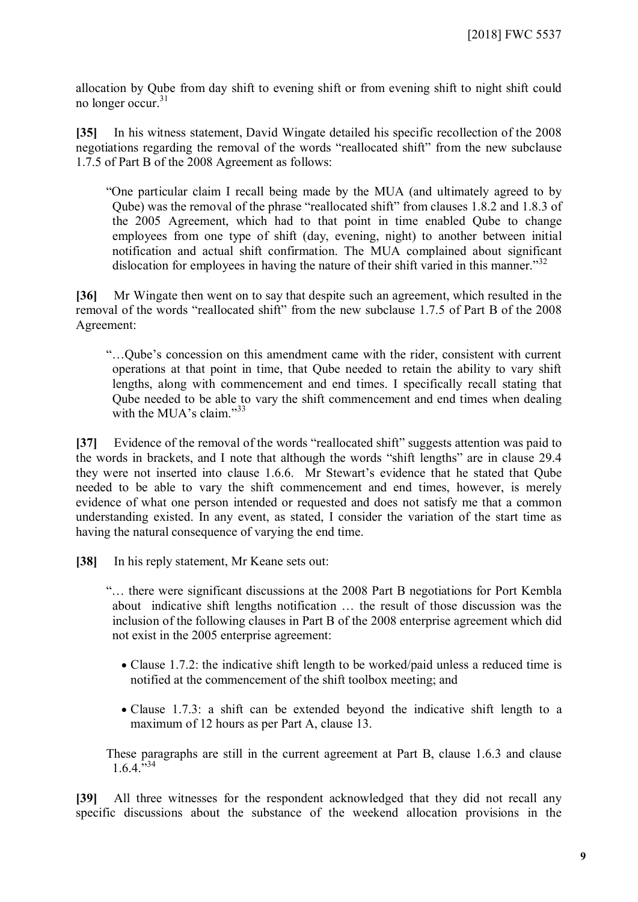allocation by Qube from day shift to evening shift or from evening shift to night shift could no longer occur.<sup>[31](#page-12-30)</sup>

**[35]** In his witness statement, David Wingate detailed his specific recollection of the 2008 negotiations regarding the removal of the words "reallocated shift" from the new subclause 1.7.5 of Part B of the 2008 Agreement as follows:

"One particular claim I recall being made by the MUA (and ultimately agreed to by Qube) was the removal of the phrase "reallocated shift" from clauses 1.8.2 and 1.8.3 of the 2005 Agreement, which had to that point in time enabled Qube to change employees from one type of shift (day, evening, night) to another between initial notification and actual shift confirmation. The MUA complained about significant dislocation for employees in having the nature of their shift varied in this manner.<sup>[32](#page-12-31)</sup>

**[36]** Mr Wingate then went on to say that despite such an agreement, which resulted in the removal of the words "reallocated shift" from the new subclause 1.7.5 of Part B of the 2008 Agreement:

"…Qube's concession on this amendment came with the rider, consistent with current operations at that point in time, that Qube needed to retain the ability to vary shift lengths, along with commencement and end times. I specifically recall stating that Qube needed to be able to vary the shift commencement and end times when dealing with the MUA's claim."<sup>[33](#page-13-0)</sup>

**[37]** Evidence of the removal of the words "reallocated shift" suggests attention was paid to the words in brackets, and I note that although the words "shift lengths" are in clause 29.4 they were not inserted into clause 1.6.6. Mr Stewart's evidence that he stated that Qube needed to be able to vary the shift commencement and end times, however, is merely evidence of what one person intended or requested and does not satisfy me that a common understanding existed. In any event, as stated, I consider the variation of the start time as having the natural consequence of varying the end time.

**[38]** In his reply statement, Mr Keane sets out:

"… there were significant discussions at the 2008 Part B negotiations for Port Kembla about indicative shift lengths notification … the result of those discussion was the inclusion of the following clauses in Part B of the 2008 enterprise agreement which did not exist in the 2005 enterprise agreement:

- Clause 1.7.2: the indicative shift length to be worked/paid unless a reduced time is notified at the commencement of the shift toolbox meeting; and
- Clause 1.7.3: a shift can be extended beyond the indicative shift length to a maximum of 12 hours as per Part A, clause 13.

These paragraphs are still in the current agreement at Part B, clause 1.6.3 and clause  $1.6.4.^{5,34}$  $1.6.4.^{5,34}$  $1.6.4.^{5,34}$ 

**[39]** All three witnesses for the respondent acknowledged that they did not recall any specific discussions about the substance of the weekend allocation provisions in the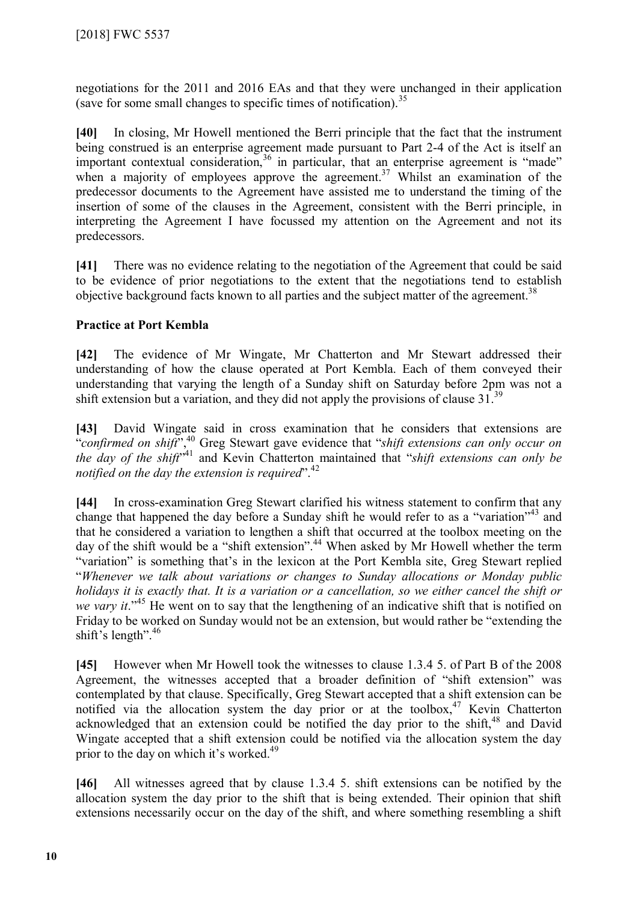negotiations for the 2011 and 2016 EAs and that they were unchanged in their application (save for some small changes to specific times of notification).<sup>[35](#page-13-2)</sup>

**[40]** In closing, Mr Howell mentioned the Berri principle that the fact that the instrument being construed is an enterprise agreement made pursuant to Part 2-4 of the Act is itself an important contextual consideration,  $36$  in particular, that an enterprise agreement is "made" when a majority of employees approve the agreement.<sup>[37](#page-13-4)</sup> Whilst an examination of the predecessor documents to the Agreement have assisted me to understand the timing of the insertion of some of the clauses in the Agreement, consistent with the Berri principle, in interpreting the Agreement I have focussed my attention on the Agreement and not its predecessors.

**[41]** There was no evidence relating to the negotiation of the Agreement that could be said to be evidence of prior negotiations to the extent that the negotiations tend to establish objective background facts known to all parties and the subject matter of the agreement.<sup>[38](#page-13-5)</sup>

### **Practice at Port Kembla**

**[42]** The evidence of Mr Wingate, Mr Chatterton and Mr Stewart addressed their understanding of how the clause operated at Port Kembla. Each of them conveyed their understanding that varying the length of a Sunday shift on Saturday before 2pm was not a shift extension but a variation, and they did not apply the provisions of clause  $31<sup>39</sup>$  $31<sup>39</sup>$  $31<sup>39</sup>$ 

**[43]** David Wingate said in cross examination that he considers that extensions are "*confirmed on shift*",[40](#page-13-7) Greg Stewart gave evidence that "*shift extensions can only occur on the day of the shift*" [41](#page-13-8) and Kevin Chatterton maintained that "*shift extensions can only be notified on the day the extension is required*".<sup>[42](#page-13-9)</sup>

**[44]** In cross-examination Greg Stewart clarified his witness statement to confirm that any change that happened the day before a Sunday shift he would refer to as a "variation"<sup>[43](#page-13-10)</sup> and that he considered a variation to lengthen a shift that occurred at the toolbox meeting on the day of the shift would be a "shift extension".<sup>[44](#page-13-11)</sup> When asked by Mr Howell whether the term "variation" is something that's in the lexicon at the Port Kembla site, Greg Stewart replied "*Whenever we talk about variations or changes to Sunday allocations or Monday public holidays it is exactly that. It is a variation or a cancellation, so we either cancel the shift or we vary it*."[45](#page-13-12) He went on to say that the lengthening of an indicative shift that is notified on Friday to be worked on Sunday would not be an extension, but would rather be "extending the shift's length".<sup>[46](#page-13-13)</sup>

**[45]** However when Mr Howell took the witnesses to clause 1.3.4 5. of Part B of the 2008 Agreement, the witnesses accepted that a broader definition of "shift extension" was contemplated by that clause. Specifically, Greg Stewart accepted that a shift extension can be notified via the allocation system the day prior or at the toolbox,  $47$  Kevin Chatterton acknowledged that an extension could be notified the day prior to the shift.<sup>[48](#page-13-15)</sup> and David Wingate accepted that a shift extension could be notified via the allocation system the day prior to the day on which it's worked.<sup>[49](#page-13-16)</sup>

**[46]** All witnesses agreed that by clause 1.3.4 5. shift extensions can be notified by the allocation system the day prior to the shift that is being extended. Their opinion that shift extensions necessarily occur on the day of the shift, and where something resembling a shift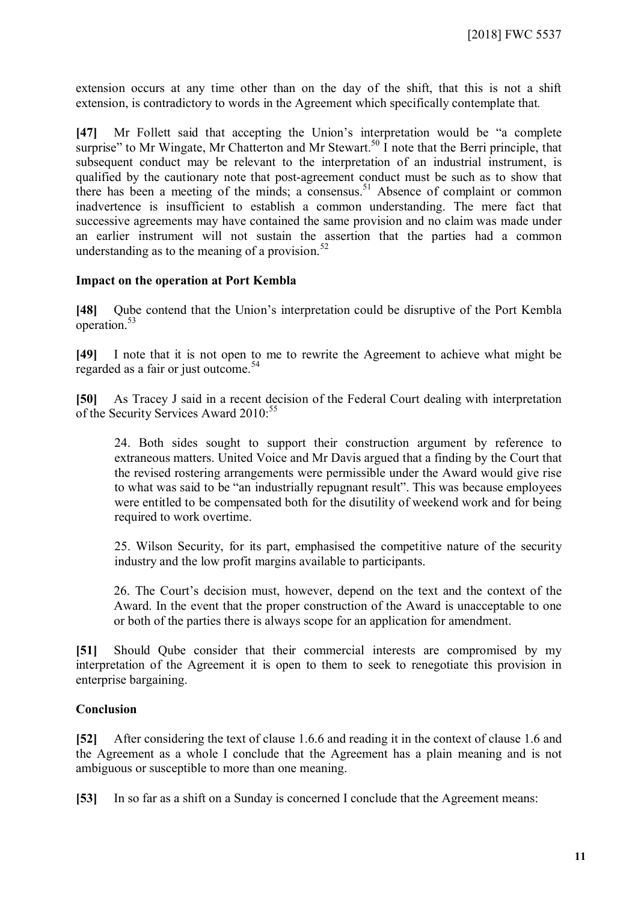extension occurs at any time other than on the day of the shift, that this is not a shift extension, is contradictory to words in the Agreement which specifically contemplate that*.*

**[47]** Mr Follett said that accepting the Union's interpretation would be "a complete surprise" to Mr Wingate, Mr Chatterton and Mr Stewart.<sup>[50](#page-13-17)</sup> I note that the Berri principle, that subsequent conduct may be relevant to the interpretation of an industrial instrument, is qualified by the cautionary note that post-agreement conduct must be such as to show that there has been a meeting of the minds; a consensus.<sup>[51](#page-13-18)</sup> Absence of complaint or common inadvertence is insufficient to establish a common understanding. The mere fact that successive agreements may have contained the same provision and no claim was made under an earlier instrument will not sustain the assertion that the parties had a common understanding as to the meaning of a provision. $52$ 

#### **Impact on the operation at Port Kembla**

**[48]** Qube contend that the Union's interpretation could be disruptive of the Port Kembla operation.[53](#page-13-20)

**[49]** I note that it is not open to me to rewrite the Agreement to achieve what might be regarded as a fair or just outcome.<sup>[54](#page-13-21)</sup>

**[50]** As Tracey J said in a recent decision of the Federal Court dealing with interpretation of the Security Services Award 2010:<sup>[55](#page-13-22)</sup>

24. Both sides sought to support their construction argument by reference to extraneous matters. United Voice and Mr Davis argued that a finding by the Court that the revised rostering arrangements were permissible under the Award would give rise to what was said to be "an industrially repugnant result". This was because employees were entitled to be compensated both for the disutility of weekend work and for being required to work overtime.

25. Wilson Security, for its part, emphasised the competitive nature of the security industry and the low profit margins available to participants.

26. The Court's decision must, however, depend on the text and the context of the Award. In the event that the proper construction of the Award is unacceptable to one or both of the parties there is always scope for an application for amendment.

**[51]** Should Qube consider that their commercial interests are compromised by my interpretation of the Agreement it is open to them to seek to renegotiate this provision in enterprise bargaining.

#### **Conclusion**

**[52]** After considering the text of clause 1.6.6 and reading it in the context of clause 1.6 and the Agreement as a whole I conclude that the Agreement has a plain meaning and is not ambiguous or susceptible to more than one meaning.

**[53]** In so far as a shift on a Sunday is concerned I conclude that the Agreement means: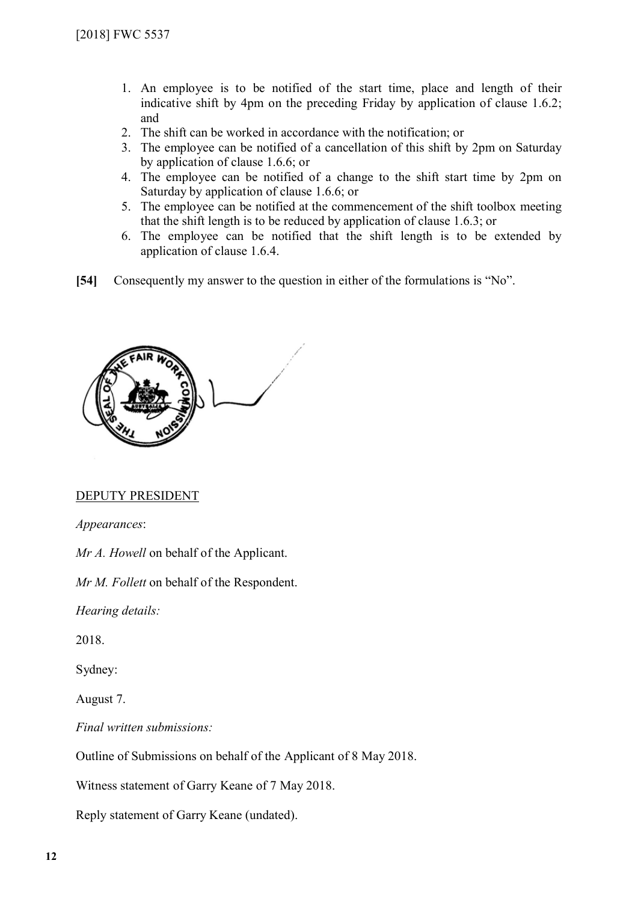- 1. An employee is to be notified of the start time, place and length of their indicative shift by 4pm on the preceding Friday by application of clause 1.6.2; and
- 2. The shift can be worked in accordance with the notification; or
- 3. The employee can be notified of a cancellation of this shift by 2pm on Saturday by application of clause 1.6.6; or
- 4. The employee can be notified of a change to the shift start time by 2pm on Saturday by application of clause 1.6.6; or
- 5. The employee can be notified at the commencement of the shift toolbox meeting that the shift length is to be reduced by application of clause 1.6.3; or
- 6. The employee can be notified that the shift length is to be extended by application of clause 1.6.4.
- **[54]** Consequently my answer to the question in either of the formulations is "No".



#### DEPUTY PRESIDENT

*Appearances*:

*Mr A. Howell* on behalf of the Applicant.

*Mr M. Follett* on behalf of the Respondent.

*Hearing details:*

2018.

Sydney:

August 7.

*Final written submissions:*

Outline of Submissions on behalf of the Applicant of 8 May 2018.

Witness statement of Garry Keane of 7 May 2018.

Reply statement of Garry Keane (undated).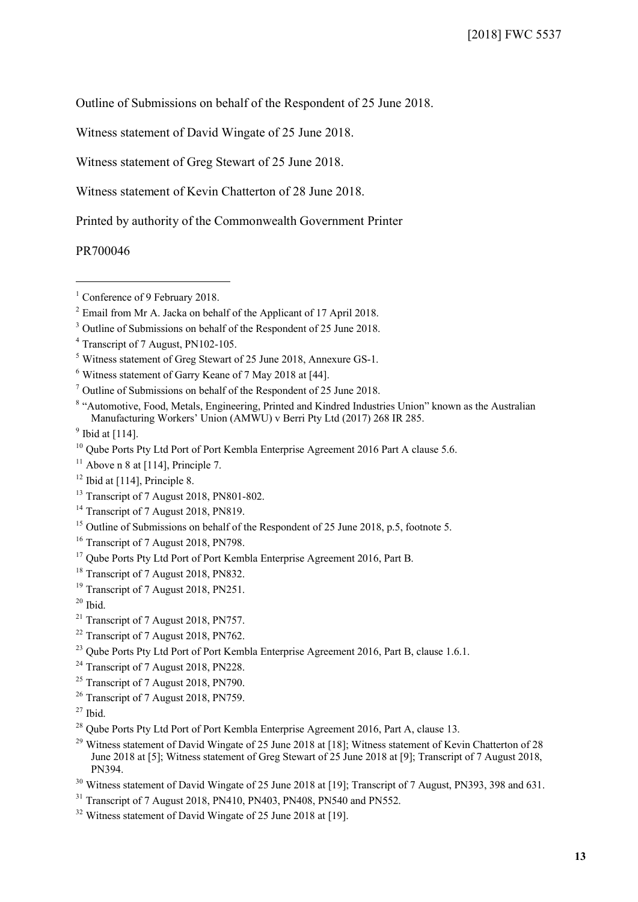Outline of Submissions on behalf of the Respondent of 25 June 2018.

Witness statement of David Wingate of 25 June 2018.

Witness statement of Greg Stewart of 25 June 2018.

Witness statement of Kevin Chatterton of 28 June 2018.

Printed by authority of the Commonwealth Government Printer

PR700046

 $\overline{a}$ 

<sup>8</sup> "Automotive, Food, Metals, Engineering, Printed and Kindred Industries Union" known as the Australian Manufacturing Workers' Union (AMWU) v Berri Pty Ltd (2017) 268 IR 285.

- <span id="page-12-10"></span><sup>11</sup> Above n 8 at [114], Principle 7.
- <span id="page-12-11"></span> $12$  Ibid at [114], Principle 8.
- <span id="page-12-12"></span><sup>13</sup> Transcript of 7 August 2018, PN801-802.
- <span id="page-12-13"></span><sup>14</sup> Transcript of 7 August 2018, PN819.
- <span id="page-12-14"></span><sup>15</sup> Outline of Submissions on behalf of the Respondent of 25 June 2018, p.5, footnote 5.
- <span id="page-12-15"></span><sup>16</sup> Transcript of 7 August 2018, PN798.
- <span id="page-12-16"></span><sup>17</sup> Qube Ports Pty Ltd Port of Port Kembla Enterprise Agreement 2016, Part B.
- <span id="page-12-17"></span><sup>18</sup> Transcript of 7 August 2018, PN832.
- <span id="page-12-18"></span><sup>19</sup> Transcript of 7 August 2018, PN251.
- <span id="page-12-19"></span> $20$  Ibid.

- <span id="page-12-21"></span><sup>22</sup> Transcript of 7 August 2018, PN762.
- <span id="page-12-22"></span><sup>23</sup> Qube Ports Pty Ltd Port of Port Kembla Enterprise Agreement 2016, Part B, clause 1.6.1.
- <span id="page-12-23"></span><sup>24</sup> Transcript of 7 August 2018, PN228.
- <span id="page-12-24"></span><sup>25</sup> Transcript of 7 August 2018, PN790.
- <span id="page-12-25"></span><sup>26</sup> Transcript of 7 August 2018, PN759.

- <span id="page-12-27"></span><sup>28</sup> Qube Ports Pty Ltd Port of Port Kembla Enterprise Agreement 2016, Part A, clause 13.
- <span id="page-12-28"></span><sup>29</sup> Witness statement of David Wingate of 25 June 2018 at [18]; Witness statement of Kevin Chatterton of 28 June 2018 at [5]; Witness statement of Greg Stewart of 25 June 2018 at [9]; Transcript of 7 August 2018, PN394.
- <span id="page-12-30"></span><span id="page-12-29"></span><sup>30</sup> Witness statement of David Wingate of 25 June 2018 at [19]; Transcript of 7 August, PN393, 398 and 631.
- $31$  Transcript of 7 August 2018, PN410, PN403, PN408, PN540 and PN552.
- <span id="page-12-31"></span><sup>32</sup> Witness statement of David Wingate of 25 June 2018 at [19].

<span id="page-12-0"></span><sup>&</sup>lt;sup>1</sup> Conference of 9 February 2018.

<span id="page-12-1"></span><sup>&</sup>lt;sup>2</sup> Email from Mr A. Jacka on behalf of the Applicant of 17 April 2018.

<span id="page-12-2"></span><sup>&</sup>lt;sup>3</sup> Outline of Submissions on behalf of the Respondent of 25 June 2018.

<span id="page-12-3"></span><sup>4</sup> Transcript of 7 August, PN102-105.

<span id="page-12-4"></span><sup>5</sup> Witness statement of Greg Stewart of 25 June 2018, Annexure GS-1.

<span id="page-12-5"></span><sup>6</sup> Witness statement of Garry Keane of 7 May 2018 at [44].

<span id="page-12-7"></span><span id="page-12-6"></span><sup>7</sup> Outline of Submissions on behalf of the Respondent of 25 June 2018.

<span id="page-12-8"></span> $<sup>9</sup>$  Ibid at [114].</sup>

<span id="page-12-9"></span><sup>&</sup>lt;sup>10</sup> Qube Ports Pty Ltd Port of Port Kembla Enterprise Agreement 2016 Part A clause 5.6.

<span id="page-12-20"></span><sup>&</sup>lt;sup>21</sup> Transcript of 7 August 2018, PN757.

<span id="page-12-26"></span> $27$  Ibid.